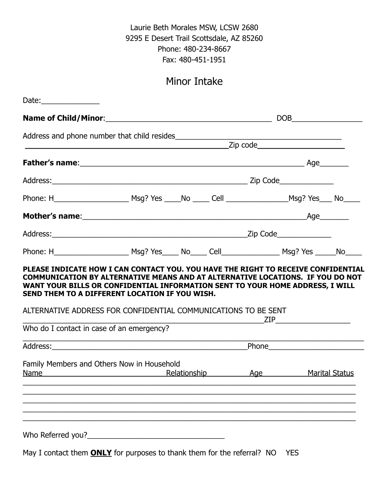Laurie Beth Morales MSW, LCSW 2680 9295 E Desert Trail Scottsdale, AZ 85260 Phone: 480-234-8667 Fax: 480-451-1951

# Minor Intake

| Date: $\frac{1}{2}$                                                                                                                                                                                                                                                                 |  |                                                                                                                                                                                                                                                       |                                   |
|-------------------------------------------------------------------------------------------------------------------------------------------------------------------------------------------------------------------------------------------------------------------------------------|--|-------------------------------------------------------------------------------------------------------------------------------------------------------------------------------------------------------------------------------------------------------|-----------------------------------|
|                                                                                                                                                                                                                                                                                     |  |                                                                                                                                                                                                                                                       | $\boxed{\text{DOB}}_{\text{max}}$ |
|                                                                                                                                                                                                                                                                                     |  |                                                                                                                                                                                                                                                       |                                   |
|                                                                                                                                                                                                                                                                                     |  |                                                                                                                                                                                                                                                       |                                   |
|                                                                                                                                                                                                                                                                                     |  |                                                                                                                                                                                                                                                       |                                   |
|                                                                                                                                                                                                                                                                                     |  |                                                                                                                                                                                                                                                       |                                   |
|                                                                                                                                                                                                                                                                                     |  |                                                                                                                                                                                                                                                       |                                   |
|                                                                                                                                                                                                                                                                                     |  |                                                                                                                                                                                                                                                       |                                   |
|                                                                                                                                                                                                                                                                                     |  |                                                                                                                                                                                                                                                       |                                   |
| COMMUNICATION BY ALTERNATIVE MEANS AND AT ALTERNATIVE LOCATIONS. IF YOU DO NOT<br>WANT YOUR BILLS OR CONFIDENTIAL INFORMATION SENT TO YOUR HOME ADDRESS, I WILL<br>SEND THEM TO A DIFFERENT LOCATION IF YOU WISH.<br>ALTERNATIVE ADDRESS FOR CONFIDENTIAL COMMUNICATIONS TO BE SENT |  | $ZIP$ and $ZIP$ and $ZIP$ and $ZIP$ and $ZIP$ and $ZIP$ and $ZIP$ and $ZIP$ and $ZIP$ and $ZIP$ and $ZIP$ and $ZIP$ and $ZIP$ and $ZIP$ and $ZIP$ and $ZIP$ and $ZIP$ and $ZIP$ and $ZIP$ and $ZIP$ and $ZIP$ and $ZIP$ and $ZIP$ and $ZIP$ and $ZIP$ |                                   |
| Who do I contact in case of an emergency?                                                                                                                                                                                                                                           |  |                                                                                                                                                                                                                                                       |                                   |
| Address: Phone Phone Phone Phone Phone Phone Phone Phone Phone Phone Phone Phone Phone Phone Phone Phone Phone Phone Phone Phone Phone Phone Phone Phone Phone Phone Phone Phone Phone Phone Phone Phone Phone Phone Phone Pho                                                      |  |                                                                                                                                                                                                                                                       |                                   |
| Family Members and Others Now in Household<br><u>Name Aqe</u> Relationship Aqe                                                                                                                                                                                                      |  |                                                                                                                                                                                                                                                       | <b>Marital Status</b>             |
|                                                                                                                                                                                                                                                                                     |  |                                                                                                                                                                                                                                                       |                                   |
|                                                                                                                                                                                                                                                                                     |  |                                                                                                                                                                                                                                                       |                                   |

May I contact them **ONLY** for purposes to thank them for the referral? NO YES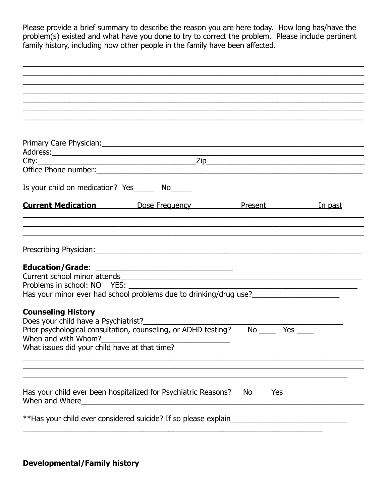Please provide a brief summary to describe the reason you are here today. How long has/have the problem(s) existed and what have you done to try to correct the problem. Please include pertinent family history, including how other people in the family have been affected.

|                                                                      | ,我们也不能在这里的人,我们也不能在这里的人,我们也不能在这里的人,我们也不能在这里的人,我们也不能在这里的人,我们也不能在这里的人,我们也不能在这里的人,我们也                                                                                                      |           |  |
|----------------------------------------------------------------------|----------------------------------------------------------------------------------------------------------------------------------------------------------------------------------------|-----------|--|
|                                                                      |                                                                                                                                                                                        |           |  |
|                                                                      |                                                                                                                                                                                        |           |  |
|                                                                      |                                                                                                                                                                                        |           |  |
|                                                                      |                                                                                                                                                                                        |           |  |
|                                                                      |                                                                                                                                                                                        |           |  |
|                                                                      | Office Phone number:                                                                                                                                                                   |           |  |
| Is your child on medication? Yes________ No______                    |                                                                                                                                                                                        |           |  |
|                                                                      | <b>Current Medication Current Medication Dose Frequency Current Present</b> <i>In past</i>                                                                                             |           |  |
|                                                                      |                                                                                                                                                                                        |           |  |
|                                                                      |                                                                                                                                                                                        |           |  |
|                                                                      |                                                                                                                                                                                        |           |  |
|                                                                      |                                                                                                                                                                                        |           |  |
| <b>Education/Grade:</b>                                              |                                                                                                                                                                                        |           |  |
| Problems in school: NO YES: _________________                        |                                                                                                                                                                                        |           |  |
|                                                                      | Has your minor ever had school problems due to drinking/drug use?                                                                                                                      |           |  |
|                                                                      |                                                                                                                                                                                        |           |  |
| <b>Counseling History</b>                                            |                                                                                                                                                                                        |           |  |
| Does your child have a Psychiatrist?_________                        |                                                                                                                                                                                        |           |  |
|                                                                      | Prior psychological consultation, counseling, or ADHD testing? No _____ Yes ____                                                                                                       |           |  |
| When and with Whom?<br>What issues did your child have at that time? |                                                                                                                                                                                        |           |  |
|                                                                      |                                                                                                                                                                                        |           |  |
|                                                                      |                                                                                                                                                                                        |           |  |
|                                                                      |                                                                                                                                                                                        |           |  |
| When and Where_                                                      | Has your child ever been hospitalized for Psychiatric Reasons?<br><u> 2000 - 2000 - 2000 - 2000 - 2000 - 2000 - 2000 - 2000 - 2000 - 2000 - 2000 - 2000 - 2000 - 2000 - 2000 - 200</u> | No<br>Yes |  |
|                                                                      | **Has your child ever considered suicide? If so please explain                                                                                                                         |           |  |
|                                                                      |                                                                                                                                                                                        |           |  |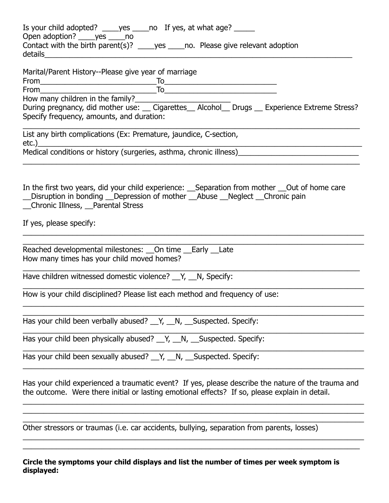| Is your child adopted? _____ yes _____ no If yes, at what age? ______                                                                                                                                                                                                                   |  |  |  |
|-----------------------------------------------------------------------------------------------------------------------------------------------------------------------------------------------------------------------------------------------------------------------------------------|--|--|--|
| Open adoption? _____ yes _____ no<br>Contact with the birth parent(s)? _____ yes _____ no. Please give relevant adoption                                                                                                                                                                |  |  |  |
| Marital/Parent History--Please give year of marriage                                                                                                                                                                                                                                    |  |  |  |
|                                                                                                                                                                                                                                                                                         |  |  |  |
| $\begin{array}{c}\nFrom  \begin{array}{c}\n  \text{From}\n \begin{array}{c}\n  \text{From}\n \end{array} \\ From  \begin{array}{c}\n  \text{From}\n \end{array} \\ \n  \begin{array}{c}\n  \text{From}\n \end{array} \\   \begin{array}{c}\n  \text{To}\n \end{array} \\   \end{array}$ |  |  |  |
| How many children in the family?<br>During pregnancy, did mother use: __ Cigarettes__ Alcohol__ Drugs __ Experience Extreme Stress?                                                                                                                                                     |  |  |  |
| Specify frequency, amounts, and duration:                                                                                                                                                                                                                                               |  |  |  |
| List any birth complications (Ex: Premature, jaundice, C-section,                                                                                                                                                                                                                       |  |  |  |
| etc.)<br>Medical conditions or history (surgeries, asthma, chronic illness)<br>Medical conditions or history (surgeries, asthma, chronic illness)                                                                                                                                       |  |  |  |
| In the first two years, did your child experience: __Separation from mother __Out of home care<br>_Disruption in bonding _Depression of mother _Abuse _Neglect _Chronic pain<br>_Chronic Illness, _Parental Stress                                                                      |  |  |  |
| If yes, please specify:                                                                                                                                                                                                                                                                 |  |  |  |
| Reached developmental milestones: __ On time __ Early __ Late<br>How many times has your child moved homes?                                                                                                                                                                             |  |  |  |
| Have children witnessed domestic violence? __Y, __N, Specify:                                                                                                                                                                                                                           |  |  |  |
| How is your child disciplined? Please list each method and frequency of use:                                                                                                                                                                                                            |  |  |  |
| Has your child been verbally abused? __Y, __N, __Suspected. Specify:                                                                                                                                                                                                                    |  |  |  |
| Has your child been physically abused? __Y, __N, __Suspected. Specify:                                                                                                                                                                                                                  |  |  |  |
| Has your child been sexually abused? __Y, __N, __Suspected. Specify:                                                                                                                                                                                                                    |  |  |  |
| Has your child experienced a traumatic event? If yes, please describe the nature of the trauma and<br>the outcome. Were there initial or lasting emotional effects? If so, please explain in detail.                                                                                    |  |  |  |
| Other stressors or traumas (i.e. car accidents, bullying, separation from parents, losses)                                                                                                                                                                                              |  |  |  |

#### **Circle the symptoms your child displays and list the number of times per week symptom is displayed:**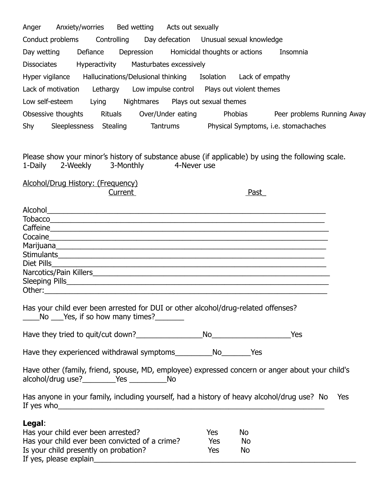| Anger Anxiety/worries Bed wetting Acts out sexually                                                                                                                                                                                 |                  |          |
|-------------------------------------------------------------------------------------------------------------------------------------------------------------------------------------------------------------------------------------|------------------|----------|
| Conduct problems Controlling Day defecation Unusual sexual knowledge                                                                                                                                                                |                  |          |
| Defiance Depression Homicidal thoughts or actions<br>Day wetting                                                                                                                                                                    |                  | Insomnia |
| <b>Dissociates</b><br>Hyperactivity Masturbates excessively                                                                                                                                                                         |                  |          |
| Hyper vigilance Hallucinations/Delusional thinking Isolation Lack of empathy                                                                                                                                                        |                  |          |
| Lack of motivation Lethargy Low impulse control Plays out violent themes                                                                                                                                                            |                  |          |
| Low self-esteem Lying Nightmares Plays out sexual themes                                                                                                                                                                            |                  |          |
| Obsessive thoughts Rituals Over/Under eating Phobias Peer problems Running Away                                                                                                                                                     |                  |          |
| Shy Sleeplessness Stealing Tantrums Physical Symptoms, i.e. stomachaches                                                                                                                                                            |                  |          |
|                                                                                                                                                                                                                                     |                  |          |
|                                                                                                                                                                                                                                     |                  |          |
| Please show your minor's history of substance abuse (if applicable) by using the following scale.<br>2-Weekly<br>3-Monthly<br>1-Daily<br>4-Never use                                                                                |                  |          |
|                                                                                                                                                                                                                                     |                  |          |
| Alcohol/Drug History: (Frequency)                                                                                                                                                                                                   |                  |          |
| Current                                                                                                                                                                                                                             | <b>Past</b>      |          |
| Alcohol <u>experience</u> and the contract of the contract of the contract of the contract of the contract of the contract of the contract of the contract of the contract of the contract of the contract of the contract of the c |                  |          |
|                                                                                                                                                                                                                                     |                  |          |
| Cocaine <u>communications</u> and contained a series of the contact of the contact of the contact of the contact of the contact of the contact of the contact of the contact of the contact of the contact of the contact of the co |                  |          |
|                                                                                                                                                                                                                                     |                  |          |
|                                                                                                                                                                                                                                     |                  |          |
| Diet Pills                                                                                                                                                                                                                          |                  |          |
|                                                                                                                                                                                                                                     |                  |          |
| Other:                                                                                                                                                                                                                              |                  |          |
| Has your child ever been arrested for DUI or other alcohol/drug-related offenses?<br>______No ____Yes, if so how many times?_________                                                                                               |                  |          |
|                                                                                                                                                                                                                                     |                  | Yes      |
|                                                                                                                                                                                                                                     |                  |          |
| Have other (family, friend, spouse, MD, employee) expressed concern or anger about your child's<br>alcohol/drug use? Montana Montana Montana Montana Montana Montana Montana Montana Montana Montana Mo                             |                  |          |
| Has anyone in your family, including yourself, had a history of heavy alcohol/drug use? No                                                                                                                                          |                  | Yes      |
| Legal:                                                                                                                                                                                                                              |                  |          |
| Has your child ever been arrested?                                                                                                                                                                                                  | No<br><b>Yes</b> |          |
| Has your child ever been convicted of a crime?                                                                                                                                                                                      | Yes<br>No        |          |
| Is your child presently on probation?                                                                                                                                                                                               | Yes<br>No        |          |

If yes, please explain\_\_\_\_\_\_\_\_\_\_\_\_\_\_\_\_\_\_\_\_\_\_\_\_\_\_\_\_\_\_\_\_\_\_\_\_\_\_\_\_\_\_\_\_\_\_\_\_\_\_\_\_\_\_\_\_\_\_\_\_\_\_\_